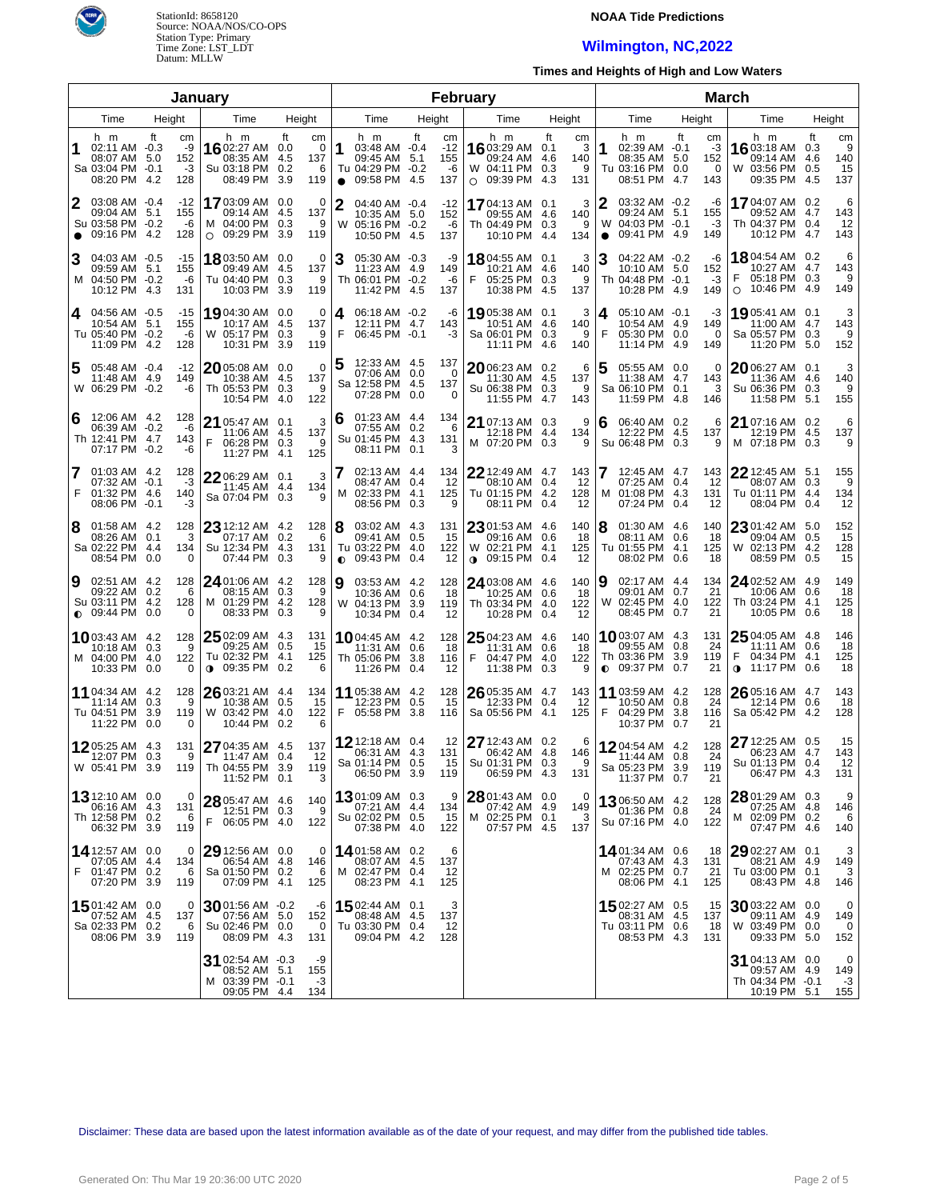

## **NOAA Tide Predictions**

## **Wilmington, NC,2022**

**Times and Heights of High and Low Waters**

|                |                                                                          |                                                      | January                                                                               |                                                        |                 |                                                                           |            |                                 | February                                                                    |                                                       |                     |                                                                                     | <b>March</b> |                              |                                                                             |           |                             |
|----------------|--------------------------------------------------------------------------|------------------------------------------------------|---------------------------------------------------------------------------------------|--------------------------------------------------------|-----------------|---------------------------------------------------------------------------|------------|---------------------------------|-----------------------------------------------------------------------------|-------------------------------------------------------|---------------------|-------------------------------------------------------------------------------------|--------------|------------------------------|-----------------------------------------------------------------------------|-----------|-----------------------------|
| Time<br>Height |                                                                          |                                                      | Time                                                                                  | Height                                                 |                 | Time                                                                      |            | Height                          | Time                                                                        | Height                                                |                     | Time                                                                                | Height       |                              | Time                                                                        |           | Height                      |
| 1              | h m<br>02:11 AM -0.3<br>08:07 AM<br>Sa 03:04 PM -0.1<br>08:20 PM         | ft<br>cm<br>-9<br>152<br>-5.0<br>$-3$<br>-4.2<br>128 | h m<br>1602:27 AM 0.0<br>08:35 AM<br>Su 03:18 PM<br>08:49 PM                          | ft<br>cm<br>0<br>137<br>-4.5<br>0.2<br>6<br>3.9<br>119 | l1<br>$\bullet$ | h m<br>03:48 AM -0.4<br>09:45 AM 5.1<br>Tu 04:29 PM -0.2<br>09:58 PM      | ft<br>-4.5 | cm<br>$-12$<br>155<br>-6<br>137 | h m<br><b>16</b> 03:29 AM 0.1<br>09:24 AM<br>W 04:11 PM<br>$\circ$ 09:39 PM | ft<br>cm<br>3<br>4.6<br>140<br>0.3<br>9<br>4.3<br>131 | 1                   | h m<br>02:39 AM -0.1<br>08:35 AM 5.0<br>Tu 03:16 PM 0.0<br>08:51 PM 4.7             | ft           | сm<br>-3<br>152<br>0<br>143  | h m<br>1603:18 AM 0.3<br>09:14 AM<br>W 03:56 PM 0.5<br>09:35 PM 4.5         | ft<br>4.6 | cm<br>9<br>140<br>15<br>137 |
| 2<br>$\bullet$ | 03:08 AM -0.4<br>09:04 AM<br>Su 03:58 PM -0.2<br>09:16 PM                | $-12$<br>5.1<br>155<br>-6<br>-4.2<br>128             | 1703:09 AM 0.0<br>09:14 AM<br>M 04:00 PM 0.3<br>$\circ$ 09:29 PM                      | 0<br>137<br>-4.5<br>9<br>3.9<br>119                    | 2               | 04:40 AM -0.4<br>10:35 AM 5.0<br>W 05:16 PM -0.2<br>10:50 PM 4.5          |            | -12<br>152<br>-6<br>137         | 17 04:13 AM 0.1<br>09:55 AM 4.6<br>Th 04:49 PM 0.3<br>10:10 PM              | 3<br>140<br>9<br>134<br>4.4                           | 2<br>W<br>$\bullet$ | 03:32 AM -0.2<br>09:24 AM 5.1<br>04:03 PM -0.1<br>09:41 PM 4.9                      |              | -6<br>155<br>-3<br>149       | 1704:07 AM 0.2<br>09:52 AM 4.7<br>Th 04:37 PM 0.4<br>10:12 PM 4.7           |           | 6<br>143<br>12<br>143       |
| 3              | 04:03 AM -0.5<br>09:59 AM 5.1<br>M 04:50 PM -0.2<br>10:12 PM             | $-15$<br>155<br>-6<br>-4.3<br>131                    | 18 03:50 AM 0.0<br>09:49 AM 4.5<br>Tu 04:40 PM 0.3<br>10:03 PM                        | 0<br>137<br>- 9<br>119<br>3.9                          | 3               | 05:30 AM -0.3<br>11:23 AM 4.9<br>Th 06:01 PM -0.2<br>11:42 PM 4.5         |            | -9<br>149<br>-6<br>137          | <b>18</b> 04:55 AM<br>10:21 AM<br>F<br>05:25 PM<br>10:38 PM                 | 3<br>0.1<br>4.6<br>140<br>0.3<br>9<br>4.5<br>137      | 3                   | 04:22 AM -0.2<br>10:10 AM 5.0<br>Th 04:48 PM -0.1<br>10:28 PM 4.9                   |              | -6<br>152<br>-3<br>149       | <b>18</b> 04:54 AM 0.2<br>10:27 AM 4.7<br>05:18 PM 0.3<br>10:46 PM 4.9<br>O |           | 6<br>143<br>9<br>149        |
| 4              | 04:56 AM -0.5<br>10:54 AM 5.1<br>Tu 05:40 PM -0.2<br>11:09 PM            | $-15$<br>155<br>-6<br>-4.2<br>128                    | 19 04:30 AM 0.0<br>10:17 AM 4.5<br>W 05:17 PM 0.3<br>10:31 PM                         | 0<br>137<br>9<br>119<br>3.9                            | 4<br>F          | 06:18 AM -0.2<br>12:11 PM 4.7<br>06:45 PM -0.1                            |            | -6<br>143<br>-3                 | 1905:38 AM 0.1<br>10:51 AM<br>Sa 06:01 PM<br>11:11 PM                       | 3<br>4.6<br>140<br>0.3<br>9<br>4.6<br>140             | 4<br>F              | 05:10 AM -0.1<br>10:54 AM 4.9<br>05:30 PM 0.0<br>11:14 PM 4.9                       |              | -3<br>149<br>$\Omega$<br>149 | 19,05:41 AM 0.1<br>11:00 AM 4.7<br>Sa 05:57 PM 0.3<br>11:20 PM 5.0          |           | 3<br>143<br>9<br>152        |
| 5              | 05:48 AM -0.4<br>11:48 AM 4.9<br>W 06:29 PM -0.2                         | $-12$<br>149                                         | 2005:08 AM 0.0<br>10:38 AM 4.5<br>Th 05:53 PM 0.3<br>-6<br>10:54 PM 4.0               | $\mathbf 0$<br>137<br>9<br>122                         | 5               | 12:33 AM 4.5<br>07:06 AM 0.0<br>Sa 12:58 PM 4.5<br>07:28 PM 0.0           |            | 137<br>0<br>137<br>0            | 2006:23 AM 0.2<br>11:30 AM 4.5<br>Su 06:38 PM 0.3<br>11:55 PM               | 6<br>137<br>9<br>4.7<br>143                           | 5                   | 05:55 AM 0.0<br>11:38 AM 4.7<br>Sa 06:10 PM 0.1<br>11:59 PM 4.8                     |              | 0<br>143<br>3<br>146         | 2006:27 AM 0.1<br>11:36 AM 4.6<br>Su 06:36 PM 0.3<br>11:58 PM 5.1           |           | 3<br>140<br>9<br>155        |
| 6              | 12:06 AM 4.2<br>06:39 AM -0.2<br>Th 12:41 PM 4.7<br>07:17 PM -0.2        | 128<br>-6<br>143<br>-6                               | 21 05:47 AM 0.1<br>11:06 AM 4.5<br>F<br>06:28 PM 0.3<br>11:27 PM 4.1                  | 3<br>137<br>9<br>125                                   | 16              | 01:23 AM 4.4<br>07:55 AM 0.2<br>Su 01:45 PM 4.3<br>08:11 PM 0.1           |            | 134<br>6<br>131<br>3            | 21 07:13 AM 0.3<br>12:18 PM<br>M 07:20 PM 0.3                               | 9<br>4.4<br>134<br>9                                  | 6                   | 06:40 AM 0.2<br>12:22 PM 4.5<br>Su 06:48 PM 0.3                                     |              | 6<br>137<br>9                | 21 07:16 AM 0.2<br>12:19 PM 4.5<br>M 07:18 PM 0.3                           |           | 6<br>137<br>9               |
| 7<br>F         | 01:03 AM 4.2<br>07:32 AM -0.1<br>01:32 PM 4.6<br>08:06 PM                | 128<br>$-3$<br>140<br>-3<br>$-0.1$                   | 22 06:29 AM 0.1<br>11:45 AM 4.4<br>Sa 07:04 PM 0.3                                    | 3<br>134<br>9                                          |                 | 02:13 AM 4.4<br>08:47 AM 0.4<br>M 02:33 PM 4.1<br>08:56 PM 0.3            |            | 134<br>12<br>125<br>9           | $22$ 12:49 AM 4.7<br>08:10 AM<br>Tu 01:15 PM 4.2<br>08:11 PM                | 143<br>0.4<br>12<br>128<br>0.4<br>12                  | м                   | 12:45 AM 4.7<br>07:25 AM 0.4<br>01:08 PM 4.3<br>07:24 PM                            | 0.4          | 143<br>12<br>131<br>-12      | 22 12:45 AM<br>08:07 AM 0.3<br>Tu 01:11 PM 4.4<br>08:04 PM 0.4              | 5.1       | 155<br>9<br>134<br>12       |
| 8              | 01:58 AM 4.2<br>08:26 AM 0.1<br>Sa 02:22 PM 4.4<br>08:54 PM              | 128<br>134<br>0.0                                    | 23 12:12 AM 4.2<br>3<br>07:17 AM 0.2<br>Su 12:34 PM 4.3<br>07:44 PM<br>0              | 128<br>6<br>131<br>0.3<br>9                            | 18<br>$\bullet$ | 03:02 AM 4.3<br>09:41 AM 0.5<br>Tu 03:22 PM 4.0<br>09:43 PM 0.4           |            | 131<br>15<br>122<br>12          | 23 01:53 AM 4.6<br>09:16 AM 0.6<br>W 02:21 PM 4.1<br>$0.09:15 \text{ PM}$   | 140<br>18<br>125<br>0.4<br>12                         | 8                   | 01:30 AM 4.6<br>08:11 AM 0.6<br>Tu 01:55 PM 4.1<br>08:02 PM 0.6                     |              | 140<br>18<br>125<br>18       | 2301:42 AM 5.0<br>09:04 AM 0.5<br>W 02:13 PM 4.2<br>08:59 PM 0.5            |           | 152<br>15<br>128<br>15      |
| 9              | 02:51 AM 4.2<br>09:22 AM 0.2<br>Su 03:11 PM 4.2<br>$\bullet$ 09:44 PM    | 128<br>128<br>0.0                                    | 24 01:06 AM 4.2<br>6<br>08:15 AM 0.3<br>M 01:29 PM 4.2<br>08:33 PM<br>0               | 128<br>9<br>128<br>0.3<br>9                            | ∣9              | 03:53 AM 4.2<br>10:36 AM 0.6<br>W 04:13 PM 3.9<br>10:34 PM 0.4            |            | 128<br>18<br>119<br>-12         | 24 03:08 AM 4.6<br>10:25 AM 0.6<br>Th 03:34 PM<br>10:28 PM                  | 140<br>18<br>122<br>4.0<br>0.4<br>12                  | 19                  | 02:17 AM 4.4<br>09:01 AM 0.7<br>W 02:45 PM 4.0<br>08:45 PM                          | 0.7          | 134<br>21<br>122<br>21       | 24 02:52 AM 4.9<br>10:06 AM 0.6<br>Th 03:24 PM 4.1<br>10:05 PM 0.6          |           | 149<br>18<br>125<br>18      |
|                | <b>10</b> 03:43 AM 4.2<br>10:18 AM 0.3<br>M 04:00 PM 4.0<br>10:33 PM 0.0 | 128<br>122                                           | 25 02:09 AM 4.3<br>09:25 AM 0.5<br>9<br>Tu 02:32 PM 4.1<br><b>0</b> 09:35 PM 0.2<br>0 | 131<br>15<br>125<br>6                                  |                 | <b>10</b> 04:45 AM 4.2<br>11:31 AM 0.6<br>Th 05:06 PM 3.8<br>11:26 PM 0.4 |            | 128<br>18<br>116<br>12          | 25 04:23 AM 4.6<br>11:31 AM 0.6<br>04:47 PM<br>F.<br>11:38 PM               | 140<br>-18<br>122<br>4.0<br>0.3<br>9                  |                     | <b>10</b> 03:07 AM 4.3<br>09:55 AM 0.8<br>Th 03:36 PM 3.9<br>$\bullet$ 09:37 PM 0.7 |              | 131<br>24<br>119<br>21       | 25 04:05 AM 4.8<br>11:11 AM 0.6<br>F<br>04:34 PM 4.1<br>11:17 PM 0.6<br>0   |           | 146<br>18<br>125<br>18      |
|                | <b>11</b> 04:34 AM 4.2<br>11:14 AM 0.3<br>Tu 04:51 PM<br>11:22 PM 0.0    | 128<br>3.9<br>119                                    | 26 03:21 AM 4.4<br>9<br>10:38 AM 0.5<br>W 03:42 PM<br>10:44 PM 0.2<br>0               | 134<br>15<br>122<br>-4.0<br>6                          | F               | 11 05:38 AM 4.2<br>12:23 PM 0.5<br>05:58 PM 3.8                           |            | 128<br>15<br>116                | 26 05:35 AM 4.7<br>12:33 PM<br>Sa 05:56 PM                                  | 143<br>0.4<br>12<br>-4.1<br>125                       | F                   | 11 03:59 AM 4.2<br>10:50 AM 0.8<br>04:29 PM 3.8<br>10:37 PM 0.7                     |              | 128<br>24<br>116<br>21       | 26 05:16 AM 4.7<br>12:14 PM 0.6<br>Sa 05:42 PM 4.2                          |           | 143<br>18<br>128            |
|                | 1205:25 AM 4.3<br>12:07 PM 0.3<br>W 05:41 PM 3.9                         | 131<br>119                                           | 27 04:35 AM 4.5<br>9<br>11:47 AM 0.4<br>Th 04:55 PM 3.9<br>11:52 PM 0.1               | 137<br>12<br>119<br>3                                  |                 | 12 12:18 AM 0.4<br>06:31 AM 4.3<br>Sa 01:14 PM 0.5<br>06:50 PM 3.9        |            | 12<br>131<br>15<br>119          | 27 12:43 AM 0.2<br>06:42 AM 4.8<br>Su 01:31 PM 0.3<br>06:59 PM 4.3          | 6<br>146<br>9<br>131                                  |                     | 1204:54 AM 4.2<br>11:44 AM 0.8<br>Sa 05:23 PM 3.9<br>11:37 PM 0.7                   |              | 128<br>24<br>119<br>21       | 27 12:25 AM 0.5<br>06:23 AM 4.7<br>Su 01:13 PM 0.4<br>06:47 PM 4.3          |           | 15<br>143<br>12<br>131      |
|                | 13 12:10 AM 0.0<br>06:16 AM 4.3<br>Th 12:58 PM 0.2<br>06:32 PM 3.9       | 131<br>119                                           | 0<br>28 05:47 AM 4.6<br>12:51 PM 0.3<br>6<br>F<br>06:05 PM 4.0                        | 140<br>-9<br>122                                       |                 | 1301:09 AM 0.3<br>07:21 AM 4.4<br>Su 02:02 PM 0.5<br>07:38 PM 4.0         |            | 9<br>134<br>15<br>122           | 28 01:43 AM 0.0<br>07:42 AM 4.9<br>M 02:25 PM 0.1<br>07:57 PM 4.5           | 0<br>149<br>3<br>137                                  |                     | 1306:50 AM 4.2<br>01:36 PM 0.8<br>Su 07:16 PM 4.0                                   |              | 128<br>24<br>122             | 28 01:29 AM 0.3<br>07:25 AM 4.8<br>M 02:09 PM 0.2<br>07:47 PM 4.6           |           | 9<br>146<br>6<br>140        |
| F              | 14 12:57 AM 0.0<br>07:05 AM 4.4<br>01:47 PM 0.2<br>07:20 PM 3.9          | 134<br>119                                           | $29$ 12:56 AM 0.0<br>0<br>06:54 AM 4.8<br>Sa 01:50 PM 0.2<br>6<br>07:09 PM 4.1        | 0<br>146<br>6<br>125                                   |                 | 1401:58 AM 0.2<br>08:07 AM 4.5<br>M 02:47 PM 0.4<br>08:23 PM 4.1          |            | 6<br>137<br>12<br>125           |                                                                             |                                                       |                     | 1401:34 AM 0.6<br>07:43 AM 4.3<br>M 02:25 PM 0.7<br>08:06 PM 4.1                    |              | 18<br>131<br>21<br>125       | $2902:27$ AM 0.1<br>08:21 AM 4.9<br>Tu 03:00 PM 0.1<br>08:43 PM 4.8         |           | 3<br>149<br>3<br>146        |
|                | $15$ 01:42 AM 0.0<br>07:52 AM 4.5<br>Sa 02:33 PM 0.2<br>08:06 PM 3.9     | 137<br>119                                           | $3001:56$ AM $-0.2$<br>0<br>07:56 AM 5.0<br>Su 02:46 PM 0.0<br>6<br>08:09 PM 4.3      | -6<br>152<br>0<br>131                                  |                 | 1502:44 AM 0.1<br>08:48 AM 4.5<br>Tu 03:30 PM 0.4<br>09:04 PM 4.2         |            | 3<br>137<br>12<br>128           |                                                                             |                                                       |                     | 1502:27 AM 0.5<br>08:31 AM 4.5<br>Tu 03:11 PM 0.6<br>08:53 PM 4.3                   |              | 15<br>137<br>-18<br>131      | 3003:22 AM 0.0<br>09:11 AM 4.9<br>W 03:49 PM 0.0<br>09:33 PM 5.0            |           | 0<br>149<br>0<br>152        |
|                |                                                                          |                                                      | 31 02:54 AM -0.3<br>08:52 AM 5.1<br>M 03:39 PM -0.1<br>09:05 PM 4.4                   | -9<br>155<br>-3<br>134                                 |                 |                                                                           |            |                                 |                                                                             |                                                       |                     |                                                                                     |              |                              | 31 04:13 AM 0.0<br>09:57 AM 4.9<br>Th 04:34 PM -0.1<br>10:19 PM 5.1         |           | 0<br>149<br>-3<br>155       |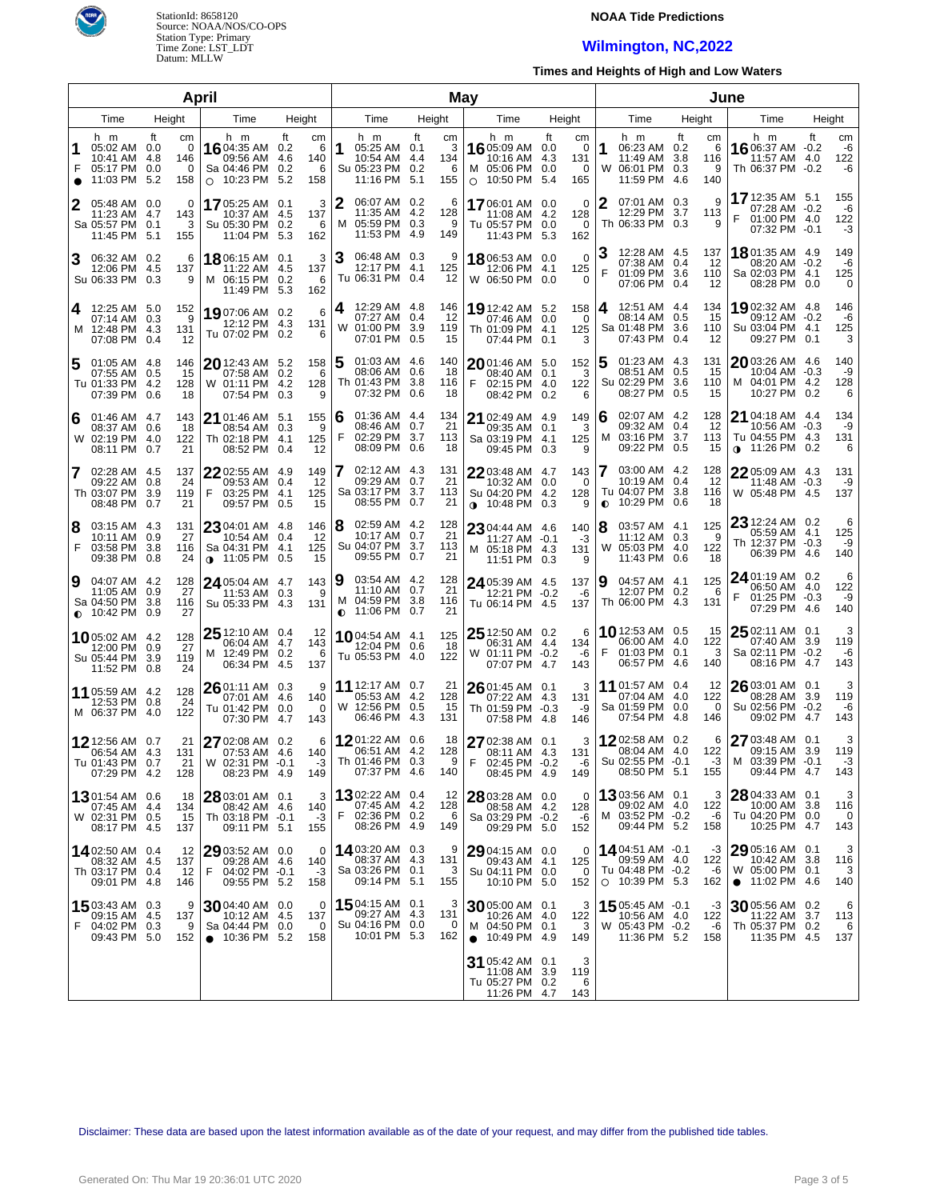

#### **NOAA Tide Predictions**

## **Wilmington, NC,2022**

**Times and Heights of High and Low Waters**

| April  |                                                                           |                        |                   |                                                                          |                                |                            |             |                                                                          |           | May                        |         |                                                                             |                                |                                |           | June                                                                    |           |                            |                                                                                  |     |                        |  |
|--------|---------------------------------------------------------------------------|------------------------|-------------------|--------------------------------------------------------------------------|--------------------------------|----------------------------|-------------|--------------------------------------------------------------------------|-----------|----------------------------|---------|-----------------------------------------------------------------------------|--------------------------------|--------------------------------|-----------|-------------------------------------------------------------------------|-----------|----------------------------|----------------------------------------------------------------------------------|-----|------------------------|--|
|        | Time                                                                      | Height                 |                   | Time                                                                     |                                | Height                     |             | Time                                                                     |           | Height                     |         | Time                                                                        |                                | Height                         |           | Time                                                                    |           | Height                     | Time                                                                             |     | Height                 |  |
| 1<br>F | h m<br>05:02 AM 0.0<br>10:41 AM 4.8<br>05:17 PM 0.0<br>11:03 PM 5.2       | ft<br>cm<br>146<br>158 | 0<br>0<br>$\circ$ | h m<br>16 04:35 AM<br>09:56 AM<br>Sa 04:46 PM<br>10:23 PM                | ft<br>0.2<br>4.6<br>0.2<br>5.2 | cm<br>6<br>140<br>6<br>158 | 1           | h m<br>05:25 AM 0.1<br>10:54 AM 4.4<br>Su 05:23 PM 0.2<br>11:16 PM       | ft<br>5.1 | cm<br>3<br>134<br>6<br>155 | $\circ$ | h m<br>16 05:09 AM<br>10:16 AM<br>M 05:06 PM<br>10:50 PM                    | ft<br>0.0<br>4.3<br>0.0<br>5.4 | cm<br>0<br>131<br>0<br>165     | 1<br>W    | h m<br>06:23 AM 0.2<br>11:49 AM<br>06:01 PM 0.3<br>11:59 PM 4.6         | ft<br>3.8 | cm<br>6<br>116<br>9<br>140 | h m<br>16 06:37 AM -0.2<br>11:57 AM 4.0<br>Th 06:37 PM -0.2                      | ft  | cm<br>-6<br>122<br>-6  |  |
|        | 05:48 AM 0.0<br>11:23 AM 4.7<br>Sa 05:57 PM 0.1<br>11:45 PM 5.1           | 143<br>155             | 0<br>3            | 1705:25 AM 0.1<br>10:37 AM 4.5<br>Su 05:30 PM<br>11:04 PM                | 0.2<br>5.3                     | 3<br>137<br>6<br>162       | 2<br>м      | 06:07 AM 0.2<br>11:35 AM 4.2<br>05:59 PM 0.3<br>11:53 PM 4.9             |           | 6<br>128<br>9<br>149       |         | 1706:01 AM 0.0<br>11:08 AM<br>Tu 05:57 PM 0.0<br>11:43 PM 5.3               | 4.2                            | 0<br>128<br>0<br>162           | 2         | 07:01 AM 0.3<br>12:29 PM 3.7<br>Th 06:33 PM 0.3                         |           | 9<br>113<br>9              | 17 12:35 AM 5.1<br>07:28 AM -0.2<br>01:00 PM 4.0<br>F<br>07:32 PM -0.1           |     | 155<br>-6<br>122<br>-3 |  |
|        | 06:32 AM 0.2<br>12:06 PM 4.5<br>Su 06:33 PM 0.3                           | 137                    | 6<br>9            | 1806:15 AM 0.1<br>11:22 AM 4.5<br>M 06:15 PM<br>11:49 PM                 | 0.2<br>5.3                     | 3<br>137<br>6<br>162       | 3           | 06:48 AM 0.3<br>12:17 PM 4.1<br>Tu 06:31 PM 0.4                          |           | 9<br>125<br>12             |         | $1806:53$ AM 0.0<br>12:06 PM 4.1<br>W 06:50 PM 0.0                          |                                | $\mathbf 0$<br>125<br>0        | 3<br>F    | 12:28 AM 4.5<br>07:38 AM 0.4<br>01:09 PM 3.6<br>07:06 PM 0.4            |           | 137<br>12<br>110<br>12     | 18 01:35 AM 4.9<br>08:20 AM -0.2<br>Sa 02:03 PM 4.1<br>08:28 PM 0.0              |     | 149<br>-6<br>125<br>0  |  |
| 4      | 12:25 AM 5.0<br>07:14 AM 0.3<br>M 12:48 PM 4.3<br>07:08 PM 0.4            | 152<br>131<br>12       | 9                 | $1907:06$ AM 0.2<br>12:12 PM 4.3<br>Tu 07:02 PM 0.2                      |                                | 6<br>131<br>6              | 4<br>W      | 12:29 AM 4.8<br>07:27 AM 0.4<br>01:00 PM 3.9<br>07:01 PM 0.5             |           | 146<br>12<br>119<br>15     |         | 19 12:42 AM 5.2<br>07:46 AM 0.0<br>Th 01:09 PM 4.1<br>07:44 PM 0.1          |                                | 158<br>0<br>125<br>3           | 4         | 12:51 AM 4.4<br>08:14 AM 0.5<br>Sa 01:48 PM 3.6<br>07:43 PM 0.4         |           | 134<br>15<br>110<br>12     | 19 02:32 AM 4.8<br>09:12 AM -0.2<br>Su 03:04 PM 4.1<br>09:27 PM 0.1              |     | 146<br>-6<br>125<br>3  |  |
| 5      | 01:05 AM 4.8<br>07:55 AM 0.5<br>Tu 01:33 PM 4.2<br>07:39 PM 0.6           | 146<br>15<br>128<br>18 |                   | $20$ 12:43 AM 5.2<br>07:58 AM 0.2<br>W 01:11 PM<br>07:54 PM              | 4.2<br>0.3                     | 158<br>6<br>128<br>9       | 5           | $01:03$ AM $4.6$<br>08:06 AM 0.6<br>Th 01:43 PM 3.8<br>07:32 PM          | 0.6       | 140<br>18<br>116<br>18     | F       | 2001:46 AM<br>08:40 AM 0.1<br>02:15 PM 4.0<br>08:42 PM 0.2                  | 5.0                            | 152<br>3<br>122<br>6           | 5         | 01:23 AM 4.3<br>08:51 AM 0.5<br>Su 02:29 PM 3.6<br>08:27 PM             | 0.5       | 131<br>15<br>110<br>15     | 2003:26 AM 4.6<br>10:04 AM -0.3<br>M 04:01 PM 4.2<br>10:27 PM 0.2                |     | 140<br>-9<br>128<br>6  |  |
| 6      | 01:46 AM 4.7<br>08:37 AM 0.6<br>W 02:19 PM 4.0<br>08:11 PM 0.7            | 143<br>18<br>122<br>21 |                   | 21 01:46 AM 5.1<br>08:54 AM 0.3<br>Th 02:18 PM<br>08:52 PM 0.4           | 4.1                            | 155<br>-9<br>125<br>12     | 16<br>F     | $01:36$ AM $4.4$<br>08:46 AM 0.7<br>02:29 PM 3.7<br>08:09 PM 0.6         |           | 134<br>21<br>113<br>18     |         | 21 02:49 AM 4.9<br>09:35 AM 0.1<br>Sa 03:19 PM 4.1<br>09:45 PM 0.3          |                                | 149<br>3<br>125<br>9           | 6<br>м    | 02:07 AM 4.2<br>09:32 AM<br>03:16 PM 3.7<br>09:22 PM 0.5                | - 0.4     | 128<br>12<br>113<br>15     | 21 04:18 AM 4.4<br>10:56 AM -0.3<br>Tu 04:55 PM 4.3<br>11:26 PM 0.2<br>$\bullet$ |     | 134<br>-9<br>131<br>6  |  |
| 7      | 02:28 AM 4.5<br>09:22 AM 0.8<br>Th 03:07 PM 3.9<br>08:48 PM 0.7           | 137<br>24<br>119<br>21 | F.                | $22$ 02:55 AM 4.9<br>09:53 AM<br>03:25 PM<br>09:57 PM 0.5                | 0.4<br>4.1                     | 149<br>12<br>125<br>15     | 7           | 02:12 AM 4.3<br>09:29 AM 0.7<br>Sa 03:17 PM 3.7<br>08:55 PM              | 0.7       | 131<br>21<br>113<br>21     |         | 2203:48 AM 4.7<br>10:32 AM 0.0<br>Su 04:20 PM 4.2<br>$0.10:48$ PM 0.3       |                                | 143<br>0<br>128<br>9           | $\bullet$ | 03:00 AM 4.2<br>10:19 AM 0.4<br>Tu 04:07 PM 3.8<br>10:29 PM             | 0.6       | 128<br>12<br>116<br>18     | 2205:09 AM 4.3<br>11:48 AM -0.3<br>W 05:48 PM 4.5                                |     | 131<br>-9<br>137       |  |
| 8<br>F | 03:15 AM 4.3<br>10:11 AM 0.9<br>03:58 PM 3.8<br>09:38 PM 0.8              | 131<br>27<br>116<br>24 |                   | $2304:01$ AM $4.8$<br>10:54 AM<br>Sa 04:31 PM<br>$0.11:05$ PM 0.5        | 0.4<br>4.1                     | 146<br>12<br>125<br>15     | 8           | 02:59 AM 4.2<br>10:17 AM 0.7<br>Su 04:07 PM 3.7<br>09:55 PM 0.7          |           | 128<br>21<br>113<br>21     |         | 23 04:44 AM 4.6<br>11:27 AM -0.1<br>M 05:18 PM 4.3<br>11:51 PM 0.3          |                                | 140<br>$-3$<br>131<br>9        | 8<br>W    | 03:57 AM 4.1<br>11:12 AM 0.3<br>05:03 PM 4.0<br>11:43 PM 0.6            |           | 125<br>9<br>122<br>18      | 23 12:24 AM 0.2<br>05:59 AM 4.1<br>Th 12:37 PM -0.3<br>06:39 PM 4.6              |     | 6<br>125<br>-9<br>140  |  |
| 9      | 04:07 AM 4.2<br>11:05 AM 0.9<br>Sa 04:50 PM 3.8<br>$\bullet$ 10:42 PM 0.9 | 128<br>27<br>116<br>27 |                   | 24 05:04 AM 4.7<br>11:53 AM 0.3<br>Su 05:33 PM 4.3                       |                                | 143<br>9<br>131            | 9<br>м<br>0 | 03:54 AM 4.2<br>11:10 AM 0.7<br>04:59 PM 3.8<br>11:06 PM 0.7             |           | 128<br>21<br>116<br>21     |         | 24 05:39 AM 4.5<br>12:21 PM -0.2<br>Tu 06:14 PM 4.5                         |                                | 137<br>-6<br>137               | 9         | 04:57 AM 4.1<br>12:07 PM 0.2<br>Th 06:00 PM 4.3                         |           | 125<br>6<br>131            | 24 01:19 AM 0.2<br>06:50 AM 4.0<br>F<br>01:25 PM -0.3<br>07:29 PM 4.6            |     | 6<br>122<br>-9<br>140  |  |
|        | <b>10</b> 05:02 AM 4.2<br>12:00 PM 0.9<br>Su 05:44 PM 3.9<br>11:52 PM 0.8 | 128<br>27<br>119<br>24 |                   | 25 12:10 AM 0.4<br>06:04 AM<br>M 12:49 PM 0.2<br>06:34 PM                | 4.7<br>4.5                     | -12<br>143<br>6<br>137     |             | 1004:54 AM 4.1<br>12:04 PM 0.6<br>Tu 05:53 PM 4.0                        |           | 125<br>18<br>122           |         | 25 12:50 AM 0.2<br>06:31 AM 4.4<br>W 01:11 PM -0.2<br>07:07 PM              | 4.7                            | 6<br>134<br>-6<br>143          | F         | 1012:53 AM 0.5<br>06:00 AM 4.0<br>01:03 PM 0.1<br>06:57 PM 4.6          |           | 15<br>122<br>3<br>140      | $2502:11$ AM 0.1<br>07:40 AM 3.9<br>Sa 02:11 PM -0.2<br>08:16 PM 4.7             |     | 3<br>119<br>-6<br>143  |  |
|        | <b>11</b> 05:59 AM 4.2<br>12:53 PM 0.8<br>M 06:37 PM 4.0                  | 128<br>24<br>122       |                   | 2601:11 AM 0.3<br>07:01 AM<br>Tu 01:42 PM 0.0<br>07:30 PM                | 4.6<br>4.7                     | 9<br>140<br>0<br>143       |             | <b>11</b> 12:17 AM 0.7<br>05:53 AM 4.2<br>W 12:56 PM 0.5<br>06:46 PM 4.3 |           | 21<br>128<br>15<br>131     |         | $2601:45$ AM 0.1<br>07:22 AM 4.3<br>Th 01:59 PM -0.3<br>07:58 PM            | 4.8                            | 3<br>131<br>-9<br>146          |           | 11 01:57 AM 0.4<br>07:04 AM 4.0<br>Sa 01:59 PM 0.0<br>07:54 PM 4.8      |           | 12<br>122<br>0<br>146      | $2603:01$ AM 0.1<br>08:28 AM 3.9<br>Su 02:56 PM -0.2<br>09:02 PM 4.7             |     | 3<br>119<br>-6<br>143  |  |
|        | 12 12:56 AM 0.7<br>06:54 AM 4.3<br>Tu 01:43 PM 0.7<br>07:29 PM 4.2        | 21<br>131<br>21<br>128 |                   | 27 02:08 AM 0.2<br>07:53 AM 4.6<br>W 02:31 PM -0.1<br>08:23 PM 4.9       |                                | 6<br>140<br>-3<br>149      |             | 1201:22 AM 0.6<br>06:51 AM 4.2<br>Th 01:46 PM 0.3<br>07:37 PM 4.6        |           | 18<br>128<br>9<br>140      | E       | 27 02:38 AM 0.1<br>08:11 AM 4.3<br>02:45 PM -0.2<br>08:45 PM 4.9            |                                | 3<br>131<br>-6<br>149          |           | 1202:58 AM 0.2<br>08:04 AM 4.0<br>Su 02:55 PM -0.1<br>08:50 PM 5.1      |           | 6<br>122<br>$-3$<br>155    | 27 03:48 AM 0.1<br>09:15 AM 3.9<br>M 03:39 PM -0.1<br>09:44 PM 4.7               |     | 3<br>119<br>-3<br>143  |  |
|        | 1301:54 AM 0.6<br>07:45 AM 4.4<br>W 02:31 PM 0.5<br>08:17 PM 4.5          | 18<br>134<br>15<br>137 |                   | 28 03:01 AM 0.1<br>08:42 AM<br>Th 03:18 PM -0.1<br>09:11 PM 5.1          | -4.6                           | 3<br>140<br>$-3$<br>155    | F           | 1302:22 AM 0.4<br>07:45 AM 4.2<br>02:36 PM 0.2<br>08:26 PM 4.9           |           | 12<br>128<br>6<br>149      |         | 28 03:28 AM 0.0<br>08:58 AM 4.2<br>Sa 03:29 PM -0.2<br>09:29 PM 5.0         |                                | 0<br>128<br>-6<br>152          |           | 1303:56 AM 0.1<br>09:02 AM 4.0<br>M 03:52 PM -0.2<br>09:44 PM 5.2       |           | 3<br>122<br>-6<br>158      | 28 04:33 AM 0.1<br>10:00 AM 3.8<br>Tu 04:20 PM 0.0<br>10:25 PM 4.7               |     | 3<br>116<br>0<br>143   |  |
|        | 14 02:50 AM 0.4<br>08:32 AM 4.5<br>Th 03:17 PM 0.4<br>09:01 PM 4.8        | 12<br>137<br>12<br>146 | F.                | $2903:52$ AM 0.0<br>09:28 AM<br>04:02 PM -0.1<br>09:55 PM 5.2            | -4.6                           | 0<br>140<br>-3<br>158      |             | 1403:20 AM 0.3<br>08:37 AM 4.3<br>Sa 03:26 PM 0.1<br>09:14 PM 5.1        |           | 9<br>131<br>3<br>155       |         | $2904:15$ AM 0.0<br>09:43 AM 4.1<br>Su 04:11 PM 0.0<br>10:10 PM 5.0         |                                | $\mathbf 0$<br>125<br>0<br>152 |           | 1404:51 AM -0.1<br>09:59 AM 4.0<br>Tu 04:48 PM -0.2<br>$O$ 10:39 PM 5.3 |           | -3<br>122<br>-6<br>162     | 29 05:16 AM 0.1<br>10:42 AM 3.8<br>W 05:00 PM 0.1<br>• 11:02 PM 4.6              |     | 3<br>116<br>3<br>140   |  |
| F      | 1503:43 AM 0.3<br>09:15 AM 4.5<br>04:02 PM 0.3<br>09:43 PM 5.0            | 137<br>152             | 9<br>9            | 30 04:40 AM 0.0<br>10:12 AM<br>Sa 04:44 PM 0.0<br>$\bullet$ 10:36 PM 5.2 | 4.5                            | 0<br>137<br>0<br>158       |             | 15 04:15 AM 0.1<br>09:27 AM 4.3<br>Su 04:16 PM 0.0<br>10:01 PM 5.3       |           | 3<br>131<br>0<br>162       |         | 30 05:00 AM 0.1<br>10:26 AM 4.0<br>M 04:50 PM 0.1<br>$\bullet$ 10:49 PM 4.9 |                                | 3<br>122<br>3<br>149           |           | 15 05:45 AM -0.1<br>10:56 AM 4.0<br>W 05:43 PM -0.2<br>11:36 PM 5.2     |           | -3<br>122<br>-6<br>158     | 30 05:56 AM 0.2<br>11:22 AM<br>Th 05:37 PM 0.2<br>11:35 PM 4.5                   | 3.7 | 6<br>113<br>6<br>137   |  |
|        |                                                                           |                        |                   |                                                                          |                                |                            |             |                                                                          |           |                            |         | 31 05:42 AM 0.1<br>11:08 AM 3.9<br>Tu 05:27 PM 0.2<br>11:26 PM 4.7          |                                | 3<br>119<br>6<br>143           |           |                                                                         |           |                            |                                                                                  |     |                        |  |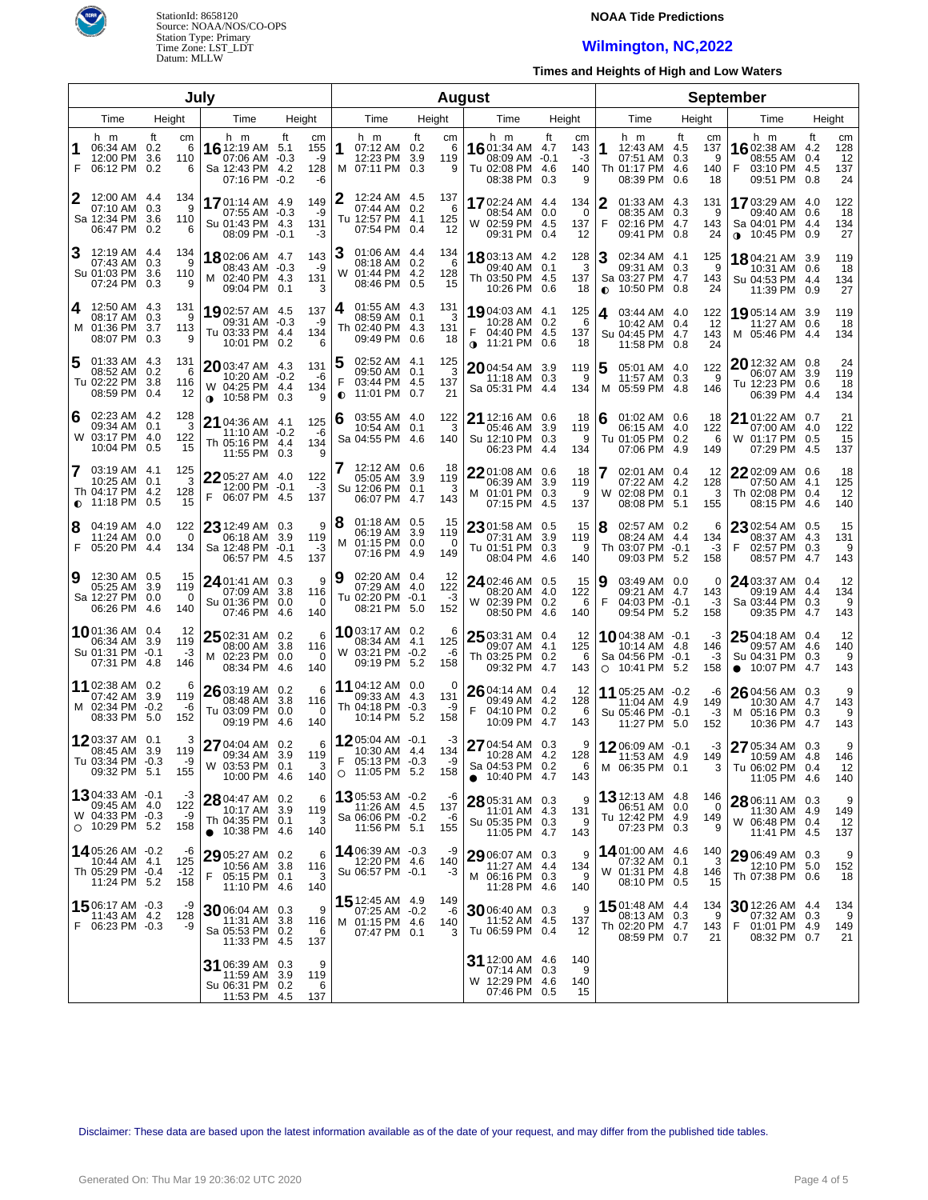

## **NOAA Tide Predictions**

## **Wilmington, NC,2022**

**Times and Heights of High and Low Waters**

| July           |                                                                            |                    |                         |                                                                                |                        |                              |                     |                                                                           |           | <b>August</b>                |           |                                                                           |                                   |                             |                | <b>September</b>                                                        |                         |                             |                                                                                 |           |                              |
|----------------|----------------------------------------------------------------------------|--------------------|-------------------------|--------------------------------------------------------------------------------|------------------------|------------------------------|---------------------|---------------------------------------------------------------------------|-----------|------------------------------|-----------|---------------------------------------------------------------------------|-----------------------------------|-----------------------------|----------------|-------------------------------------------------------------------------|-------------------------|-----------------------------|---------------------------------------------------------------------------------|-----------|------------------------------|
|                | Time                                                                       | Height             |                         | Time                                                                           |                        | Height                       |                     | Time                                                                      |           | Height                       |           | Time                                                                      |                                   | Height                      |                | Time                                                                    |                         | Height                      | Time                                                                            |           | Height                       |
| 1<br>F         | h m<br>06:34 AM<br>12:00 PM<br>06:12 PM 0.2                                | ft<br>0.2<br>3.6   | cm<br>6<br>110<br>6     | h m<br><b>16</b> 12:19 AM 5.1<br>07:06 AM<br>Sa 12:43 PM 4.2<br>07:16 PM       | ft<br>$-0.3$<br>$-0.2$ | cm<br>155<br>-9<br>128<br>-6 | 1                   | h m<br>07:12 AM 0.2<br>12:23 PM<br>M 07:11 PM 0.3                         | ft<br>3.9 | сm<br>6<br>119<br>9          |           | h m<br><b>16</b> 01:34 AM<br>08:09 AM<br>Tu 02:08 PM<br>08:38 PM          | ft<br>4.7<br>$-0.1$<br>4.6<br>0.3 | сm<br>143<br>-3<br>140<br>9 | 1              | h m<br>12:43 AM 4.5<br>07:51 AM<br>Th 01:17 PM<br>08:39 PM              | ft<br>0.3<br>4.6<br>0.6 | cm<br>137<br>9<br>140<br>18 | h m<br>16 02:38 AM 4.2<br>08:55 AM<br>03:10 PM 4.5<br>F<br>09:51 PM 0.8         | ft<br>0.4 | cm<br>128<br>12<br>137<br>24 |
| 2              | 12:00 AM 4.4<br>07:10 AM<br>Sa 12:34 PM<br>06:47 PM                        | 0.3<br>3.6<br>0.2  | 134<br>9<br>110<br>6    | 1701:14 AM 4.9<br>07:55 AM -0.3<br>Su 01:43 PM 4.3<br>08:09 PM -0.1            |                        | 149<br>-9<br>131<br>-3       |                     | 12:24 AM 4.5<br>07:44 AM 0.2<br>Tu 12:57 PM 4.1<br>07:54 PM               | 0.4       | 137<br>6<br>125<br>12        |           | 1702:24 AM 4.4<br>08:54 AM<br>W 02:59 PM 4.5<br>09:31 PM 0.4              | 0.0                               | 134<br>0<br>137<br>12       | 2<br>F         | 01:33 AM 4.3<br>08:35 AM<br>02:16 PM 4.7<br>09:41 PM                    | 0.3<br>0.8              | 131<br>9<br>143<br>24       | 17 03:29 AM 4.0<br>09:40 AM 0.6<br>Sa 04:01 PM 4.4<br>$\bullet$ 10:45 PM 0.9    |           | 122<br>18<br>134<br>27       |
| З              | 12:19 AM 4.4<br>07:43 AM<br>Su 01:03 PM<br>07:24 PM                        | 0.3<br>3.6<br>0.3  | 134<br>9<br>110<br>9    | 1802:06 AM 4.7<br>08:43 AM -0.3<br>M 02:40 PM 4.3<br>09:04 PM 0.1              |                        | 143<br>-9<br>131<br>3        | 3<br>W              | 01:06 AM 4.4<br>08:18 AM 0.2<br>01:44 PM 4.2<br>08:46 PM                  | 0.5       | 134<br>6<br>128<br>15        |           | <b>18</b> 03:13 AM 4.2<br>09:40 AM<br>Th 03:50 PM 4.5<br>10:26 PM 0.6     | 0.1                               | 128<br>3<br>137<br>18       | З<br>$\bullet$ | 02:34 AM 4.1<br>09:31 AM<br>Sa 03:27 PM 4.7<br>10:50 PM                 | 0.3<br>0.8              | 125<br>9<br>143<br>24       | 1804:21 AM 3.9<br>10:31 AM 0.6<br>Su 04:53 PM 4.4<br>11:39 PM 0.9               |           | 119<br>18<br>134<br>27       |
| 4              | 12:50 AM 4.3<br>08:17 AM<br>M 01:36 PM<br>08:07 PM                         | 0.3<br>3.7<br>0.3  | 131<br>9<br>113<br>9    | 1902:57 AM 4.5<br>09:31 AM -0.3<br>Tu 03:33 PM 4.4<br>10:01 PM 0.2             |                        | 137<br>-9<br>134<br>6        | 4                   | 01:55 AM 4.3<br>08:59 AM 0.1<br>Th 02:40 PM 4.3<br>09:49 PM 0.6           |           | 131<br>3<br>131<br>18        |           | 19 04:03 AM 4.1<br>10:28 AM 0.2<br>04:40 PM 4.5<br>$\bullet$ 11:21 PM 0.6 |                                   | 125<br>6<br>137<br>18       | 4              | 03:44 AM 4.0<br>10:42 AM 0.4<br>Su 04:45 PM 4.7<br>11:58 PM             | 0.8                     | 122<br>12<br>143<br>24      | 19,05:14 AM 3.9<br>11:27 AM 0.6<br>M 05:46 PM 4.4                               |           | 119<br>18<br>134             |
| 5              | 01:33 AM 4.3<br>08:52 AM<br>Tu 02:22 PM<br>08:59 PM                        | 0.2<br>-3.8<br>0.4 | 131<br>6<br>116<br>12   | 2003:47 AM 4.3<br>10:20 AM -0.2<br>W 04:25 PM 4.4<br>10:58 PM 0.3<br>$\bullet$ |                        | 131<br>-6<br>134<br>9        | 5<br>F<br>$\bullet$ | 02:52 AM 4.1<br>09:50 AM 0.1<br>03:44 PM 4.5<br>11:01 PM                  | 0.7       | 125<br>3<br>137<br>21        |           | 2004:54 AM 3.9<br>11:18 AM 0.3<br>Sa 05:31 PM 4.4                         |                                   | 119<br>9<br>134             |                | 05:01 AM 4.0<br>11:57 AM 0.3<br>M 05:59 PM                              | -4.8                    | 122<br>9<br>146             | 20 12:32 AM 0.8<br>06:07 AM 3.9<br>Tu 12:23 PM 0.6<br>06:39 PM 4.4              |           | 24<br>119<br>18<br>134       |
| 6              | 02:23 AM 4.2<br>09:34 AM<br>W 03:17 PM<br>10:04 PM                         | 0.1<br>-4.0<br>0.5 | 128<br>3<br>122<br>15   | 21 04:36 AM 4.1<br>11:10 AM -0.2<br>Th 05:16 PM<br>11:55 PM 0.3                | 4.4                    | 125<br>-6<br>134<br>9        | 16                  | 03:55 AM 4.0<br>10:54 AM 0.1<br>Sa 04:55 PM 4.6                           |           | 122<br>3<br>140              |           | $\mathbf{21}$ 12:16 AM<br>05:46 AM<br>Su 12:10 PM 0.3<br>06:23 PM         | 0.6<br>3.9<br>4.4                 | 18<br>119<br>9<br>134       | 6              | 01:02 AM 0.6<br>06:15 AM 4.0<br>Tu 01:05 PM<br>07:06 PM                 | 0.2<br>4.9              | 18<br>122<br>6<br>149       | 21 01:22 AM 0.7<br>07:00 AM 4.0<br>W 01:17 PM 0.5<br>07:29 PM 4.5               |           | 21<br>122<br>15<br>137       |
| 7<br>$\bullet$ | 03:19 AM 4.1<br>10:25 AM<br>Th 04:17 PM<br>11:18 PM                        | 0.1<br>-4.2<br>0.5 | 125<br>3<br>128<br>15   | $2205:27$ AM 4.0<br>12:00 PM -0.1<br>F<br>06:07 PM 4.5                         |                        | 122<br>$-3$<br>137           |                     | 12:12 AM 0.6<br>05:05 AM 3.9<br>Su 12:06 PM 0.1<br>06:07 PM 4.7           |           | 18<br>119<br>3<br>143        |           | 22 01:08 AM<br>06:39 AM<br>M 01:01 PM 0.3<br>07:15 PM                     | 0.6<br>3.9<br>4.5                 | 18<br>119<br>9<br>137       | W              | 02:01 AM 0.4<br>07:22 AM 4.2<br>02:08 PM<br>08:08 PM                    | 0.1<br>5.1              | 12<br>128<br>3<br>155       | 22 02:09 AM 0.6<br>07:50 AM 4.1<br>Th 02:08 PM 0.4<br>08:15 PM 4.6              |           | 18<br>125<br>12<br>140       |
| 8<br>F         | 04:19 AM 4.0<br>11:24 AM<br>05:20 PM                                       | 0.0<br>-4.4        | 122<br>0<br>134         | 23 12:49 AM 0.3<br>06:18 AM 3.9<br>Sa 12:48 PM<br>06:57 PM                     | $-0.1$<br>-4.5         | 9<br>119<br>-3<br>137        | 8<br>м              | $01:18$ AM $0.5$<br>06:19 AM 3.9<br>$01:15$ PM $0.0$<br>07:16 PM 4.9      |           | 15<br>119<br>$\Omega$<br>149 |           | 23 01:58 AM<br>07:31 AM<br>Tu 01:51 PM 0.3<br>08:04 PM                    | 0.5<br>3.9<br>4.6                 | 15<br>119<br>9<br>140       | 8              | 02:57 AM 0.2<br>08:24 AM 4.4<br>Th 03:07 PM -0.1<br>09:03 PM            | 5.2                     | 6<br>134<br>-3<br>158       | 23 02:54 AM 0.5<br>08:37 AM 4.3<br>F<br>02:57 PM 0.3<br>08:57 PM 4.7            |           | 15<br>131<br>9<br>143        |
| 9              | 12:30 AM 0.5<br>05:25 AM<br>Sa 12:27 PM<br>06:26 PM                        | 3.9<br>0.0<br>-4.6 | 15<br>119<br>0<br>140   | 24 01:41 AM 0.3<br>07:09 AM 3.8<br>Su 01:36 PM<br>07:46 PM                     | 0.0<br>4.6             | 9<br>116<br>0<br>140         | 9                   | 02:20 AM 0.4<br>07:29 AM 4.0<br>Tu 02:20 PM -0.1<br>08:21 PM 5.0          |           | 12<br>122<br>$-3$<br>152     |           | 24 02:46 AM<br>08:20 AM 4.0<br>W 02:39 PM 0.2<br>08:50 PM                 | 0.5<br>4.6                        | 15<br>122<br>6<br>140       | 9<br>F         | 03:49 AM 0.0<br>09:21 AM 4.7<br>04:03 PM -0.1<br>09:54 PM               | -5.2                    | 0<br>143<br>-3<br>158       | 24 03:37 AM 0.4<br>09:19 AM 4.4<br>Sa 03:44 PM 0.3<br>09:35 PM 4.7              |           | 12<br>134<br>9<br>143        |
|                | 1001:36 AM 0.4<br>06:34 AM 3.9<br>Su 01:31 PM -0.1<br>07:31 PM             | -4.8               | 12<br>119<br>-3<br>146  | 25 02:31 AM 0.2<br>08:00 AM 3.8<br>02:23 PM<br>M<br>08:34 PM                   | 0.0<br>4.6             | 6<br>116<br>0<br>140         |                     | <b>10</b> 03:17 AM 0.2<br>08:34 AM 4.1<br>W 03:21 PM -0.2<br>09:19 PM 5.2 |           | 6<br>125<br>-6<br>158        |           | $2503:31$ AM 0.4<br>09:07 AM 4.1<br>Th 03:25 PM 0.2<br>09:32 PM           | 4.7                               | 12<br>125<br>6<br>143       |                | 1004:38 AM -0.1<br>10:14 AM 4.8<br>Sa 04:56 PM -0.1<br>$O$ 10:41 PM 5.2 |                         | -3<br>146<br>-3<br>158      | 25 04:18 AM 0.4<br>09:57 AM 4.6<br>Su 04:31 PM 0.3<br>10:07 PM 4.7<br>$\bullet$ |           | 12<br>140<br>9<br>143        |
|                | 11 02:38 AM 0.2<br>07:42 AM<br>M 02:34 PM -0.2<br>08:33 PM                 | 3.9<br>5.0         | 6<br>119<br>-6<br>152   | 26 03:19 AM 0.2<br>08:48 AM 3.8<br>Tu 03:09 PM<br>09:19 PM                     | 0.0<br>-4.6            | 6<br>116<br>0<br>140         |                     | 11 04:12 AM 0.0<br>09:33 AM 4.3<br>Th 04:18 PM -0.3<br>10:14 PM 5.2       |           | 0<br>131<br>-9<br>158        | F         | 26 04:14 AM 0.4<br>09:49 AM 4.2<br>04:10 PM 0.2<br>10:09 PM               | 4.7                               | 12<br>128<br>6<br>143       |                | 11 05:25 AM -0.2<br>11:04 AM 4.9<br>Su 05:46 PM -0.1<br>11:27 PM 5.0    |                         | -6<br>149<br>-3<br>152      | 26 04:56 AM 0.3<br>10:30 AM 4.7<br>M 05:16 PM 0.3<br>10:36 PM 4.7               |           | 9<br>143<br>9<br>143         |
|                | 1203:37 AM 0.1<br>08:45 AM<br>Tu 03:34 PM -0.3<br>09:32 PM 5.1             | 3.9                | 3<br>119<br>-9<br>155   | 27 04:04 AM 0.2<br>09:34 AM<br>W 03:53 PM 0.1<br>10:00 PM 4.6                  | 3.9                    | 6<br>119<br>3<br>140         | F                   | 1205:04 AM -0.1<br>10:30 AM 4.4<br>05:13 PM -0.3<br>$O$ 11:05 PM 5.2      |           | -3<br>134<br>-9<br>158       | $\bullet$ | 27 04:54 AM 0.3<br>10:28 AM 4.2<br>Sa 04:53 PM 0.2<br>10:40 PM 4.7        |                                   | 9<br>128<br>6<br>143        |                | 1206:09 AM -0.1<br>11:53 AM<br>M 06:35 PM 0.1                           | 4.9                     | -3<br>149<br>3              | 27 05:34 AM 0.3<br>10:59 AM 4.8<br>Tu 06:02 PM 0.4<br>11:05 PM 4.6              |           | 9<br>146<br>12<br>140        |
|                | 1304:33 AM -0.1<br>09:45 AM 4.0<br>W 04:33 PM -0.3<br>$\circ$ 10:29 PM 5.2 |                    | -3<br>122<br>-9<br>158  | 28 04:47 AM 0.2<br>10:17 AM 3.9<br>Th 04:35 PM 0.1<br>$\bullet$ 10:38 PM 4.6   |                        | 6<br>119<br>3<br>140         |                     | 1305:53 AM -0.2<br>11:26 AM 4.5<br>Sa 06:06 PM -0.2<br>11:56 PM 5.1       |           | -6<br>137<br>-6<br>155       |           | 28 05:31 AM 0.3<br>11:01 AM 4.3<br>Su 05:35 PM 0.3<br>11:05 PM 4.7        |                                   | 9<br>131<br>9<br>143        |                | 13 12:13 AM 4.8<br>06:51 AM 0.0<br>Tu 12:42 PM 4.9<br>07:23 PM 0.3      |                         | 146<br>0<br>149<br>9        | 28 06:11 AM 0.3<br>11:30 AM 4.9<br>W 06:48 PM 0.4<br>11:41 PM 4.5               |           | 9<br>149<br>12<br>137        |
|                | 14 05:26 AM -0.2<br>10:44 AM 4.1<br>Th 05:29 PM -0.4<br>11:24 PM 5.2       |                    | -6<br>125<br>-12<br>158 | 29 05:27 AM 0.2<br>10:56 AM 3.8<br>F<br>05:15 PM 0.1<br>11:10 PM 4.6           |                        | 6<br>116<br>3<br>140         |                     | 14 06:39 AM -0.3<br>12:20 PM 4.6<br>Su 06:57 PM -0.1                      |           | -9<br>140<br>-3              |           | 29 06:07 AM 0.3<br>11:27 AM 4.4<br>M 06:16 PM 0.3<br>11:28 PM 4.6         |                                   | 9<br>134<br>9<br>140        |                | 1401:00 AM 4.6<br>07:32 AM<br>W 01:31 PM 4.8<br>08:10 PM 0.5            | 0.1                     | 140<br>3<br>146<br>15       | 29 06:49 AM 0.3<br>12:10 PM 5.0<br>Th 07:38 PM 0.6                              |           | 9<br>152<br>18               |
|                | $1506:17$ AM $-0.3$<br>11:43 AM 4.2<br>F 06:23 PM -0.3                     |                    | -9<br>128<br>-9         | 30 06:04 AM 0.3<br>11:31 AM 3.8<br>Sa 05:53 PM 0.2<br>11:33 PM 4.5             |                        | 9<br>116<br>6<br>137         |                     | 15 12:45 AM 4.9<br>07:25 AM -0.2<br>M 01:15 PM 4.6<br>07:47 PM 0.1        |           | 149<br>-6<br>140<br>3        |           | 30 06:40 AM 0.3<br>11:52 AM 4.5<br>Tu 06:59 PM 0.4                        |                                   | 9<br>137<br>12              |                | 15 01:48 AM 4.4<br>08:13 AM 0.3<br>Th 02:20 PM 4.7<br>08:59 PM 0.7      |                         | 134<br>9<br>143<br>21       | 30 12:26 AM 4.4<br>07:32 AM 0.3<br>F<br>01:01 PM 4.9<br>08:32 PM 0.7            |           | 134<br>9<br>149<br>21        |
|                |                                                                            |                    |                         | 31 06:39 AM 0.3<br>11:59 AM<br>Su 06:31 PM 0.2<br>11:53 PM 4.5                 | 3.9                    | 9<br>119<br>6<br>137         |                     |                                                                           |           |                              |           | 31 12:00 AM 4.6<br>07:14 AM 0.3<br>W 12:29 PM 4.6<br>07:46 PM 0.5         |                                   | 140<br>9<br>140<br>15       |                |                                                                         |                         |                             |                                                                                 |           |                              |